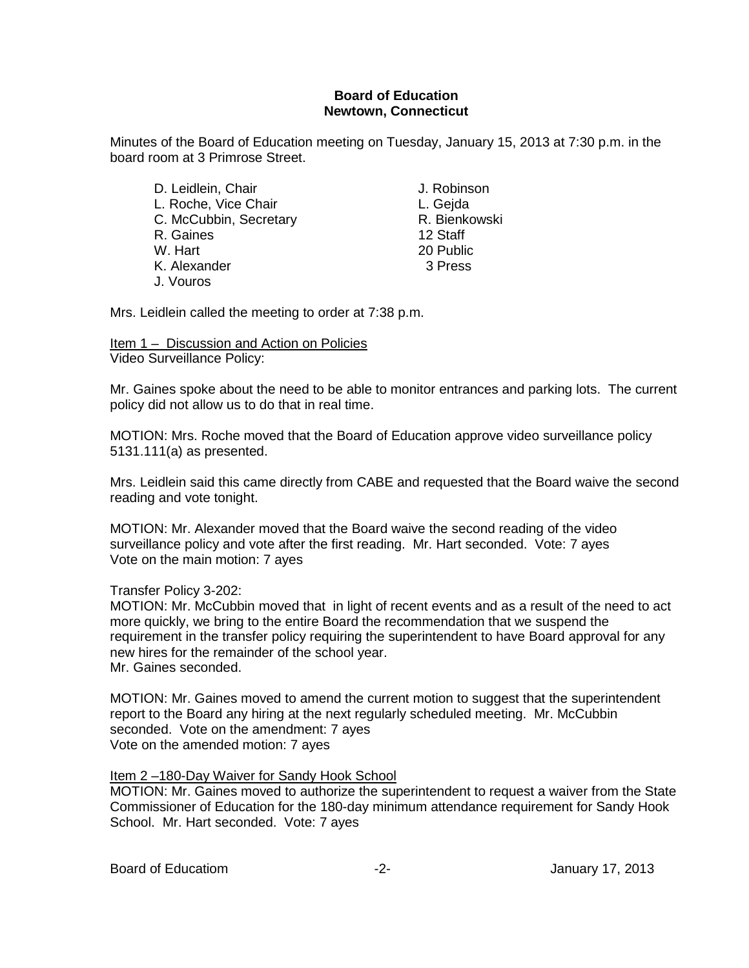### **Board of Education Newtown, Connecticut**

Minutes of the Board of Education meeting on Tuesday, January 15, 2013 at 7:30 p.m. in the board room at 3 Primrose Street.

D. Leidlein, Chair **J. Robinson** L. Roche, Vice Chair **L. Gejda**<br>C. McCubbin. Secretary **L. Bienkowski** C. McCubbin, Secretary **R. Bienkowski**n, Secretary **R. Bienkowskin**, Staff and R. Bienkowskin R. Gaines<br>W. Hart K. Alexander 3 Press J. Vouros

20 Public

Mrs. Leidlein called the meeting to order at 7:38 p.m.

Item 1 – Discussion and Action on Policies Video Surveillance Policy:

Mr. Gaines spoke about the need to be able to monitor entrances and parking lots. The current policy did not allow us to do that in real time.

MOTION: Mrs. Roche moved that the Board of Education approve video surveillance policy 5131.111(a) as presented.

Mrs. Leidlein said this came directly from CABE and requested that the Board waive the second reading and vote tonight.

MOTION: Mr. Alexander moved that the Board waive the second reading of the video surveillance policy and vote after the first reading. Mr. Hart seconded. Vote: 7 ayes Vote on the main motion: 7 ayes

Transfer Policy 3-202:

MOTION: Mr. McCubbin moved that in light of recent events and as a result of the need to act more quickly, we bring to the entire Board the recommendation that we suspend the requirement in the transfer policy requiring the superintendent to have Board approval for any new hires for the remainder of the school year. Mr. Gaines seconded.

MOTION: Mr. Gaines moved to amend the current motion to suggest that the superintendent report to the Board any hiring at the next regularly scheduled meeting. Mr. McCubbin seconded. Vote on the amendment: 7 ayes Vote on the amended motion: 7 ayes

Item 2 –180-Day Waiver for Sandy Hook School

MOTION: Mr. Gaines moved to authorize the superintendent to request a waiver from the State Commissioner of Education for the 180-day minimum attendance requirement for Sandy Hook School. Mr. Hart seconded. Vote: 7 ayes

Board of Educatiom **-2-** Figure 2. Figure 2. Figure 2. Altanuary 17, 2013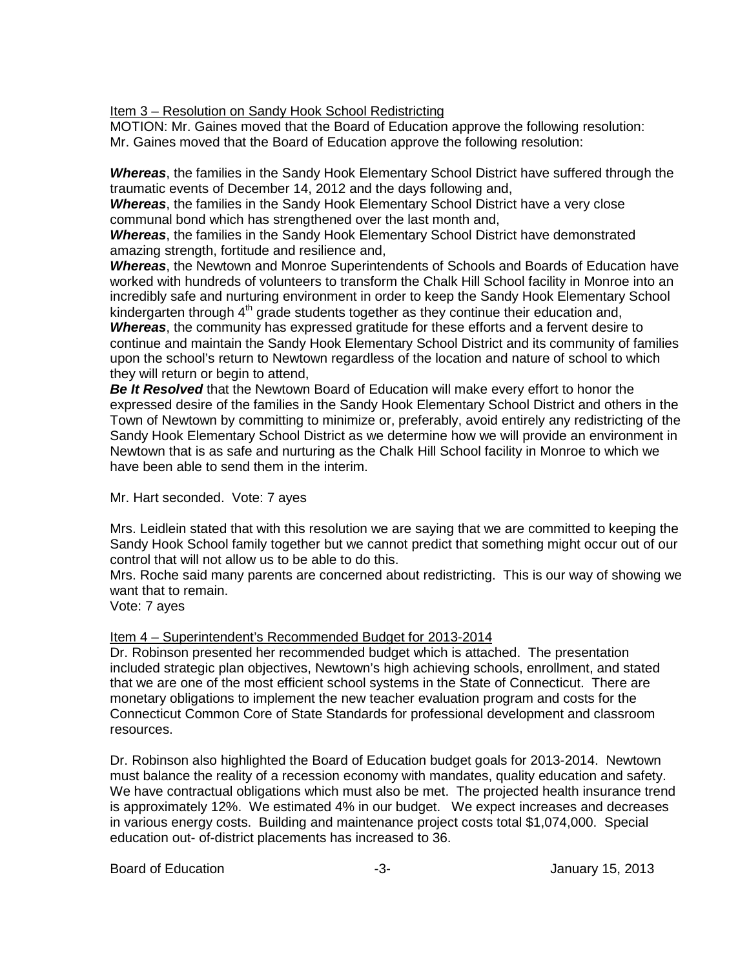Item 3 – Resolution on Sandy Hook School Redistricting

MOTION: Mr. Gaines moved that the Board of Education approve the following resolution: Mr. Gaines moved that the Board of Education approve the following resolution:

*Whereas*, the families in the Sandy Hook Elementary School District have suffered through the traumatic events of December 14, 2012 and the days following and,

*Whereas*, the families in the Sandy Hook Elementary School District have a very close communal bond which has strengthened over the last month and,

*Whereas*, the families in the Sandy Hook Elementary School District have demonstrated amazing strength, fortitude and resilience and,

*Whereas*, the Newtown and Monroe Superintendents of Schools and Boards of Education have worked with hundreds of volunteers to transform the Chalk Hill School facility in Monroe into an incredibly safe and nurturing environment in order to keep the Sandy Hook Elementary School kindergarten through  $4<sup>th</sup>$  grade students together as they continue their education and,

*Whereas*, the community has expressed gratitude for these efforts and a fervent desire to continue and maintain the Sandy Hook Elementary School District and its community of families upon the school's return to Newtown regardless of the location and nature of school to which they will return or begin to attend,

*Be It Resolved* that the Newtown Board of Education will make every effort to honor the expressed desire of the families in the Sandy Hook Elementary School District and others in the Town of Newtown by committing to minimize or, preferably, avoid entirely any redistricting of the Sandy Hook Elementary School District as we determine how we will provide an environment in Newtown that is as safe and nurturing as the Chalk Hill School facility in Monroe to which we have been able to send them in the interim.

Mr. Hart seconded. Vote: 7 ayes

Mrs. Leidlein stated that with this resolution we are saying that we are committed to keeping the Sandy Hook School family together but we cannot predict that something might occur out of our control that will not allow us to be able to do this.

Mrs. Roche said many parents are concerned about redistricting. This is our way of showing we want that to remain.

Vote: 7 ayes

### Item 4 – Superintendent's Recommended Budget for 2013-2014

Dr. Robinson presented her recommended budget which is attached. The presentation included strategic plan objectives, Newtown's high achieving schools, enrollment, and stated that we are one of the most efficient school systems in the State of Connecticut. There are monetary obligations to implement the new teacher evaluation program and costs for the Connecticut Common Core of State Standards for professional development and classroom resources.

Dr. Robinson also highlighted the Board of Education budget goals for 2013-2014. Newtown must balance the reality of a recession economy with mandates, quality education and safety. We have contractual obligations which must also be met. The projected health insurance trend is approximately 12%. We estimated 4% in our budget. We expect increases and decreases in various energy costs. Building and maintenance project costs total \$1,074,000. Special education out- of-district placements has increased to 36.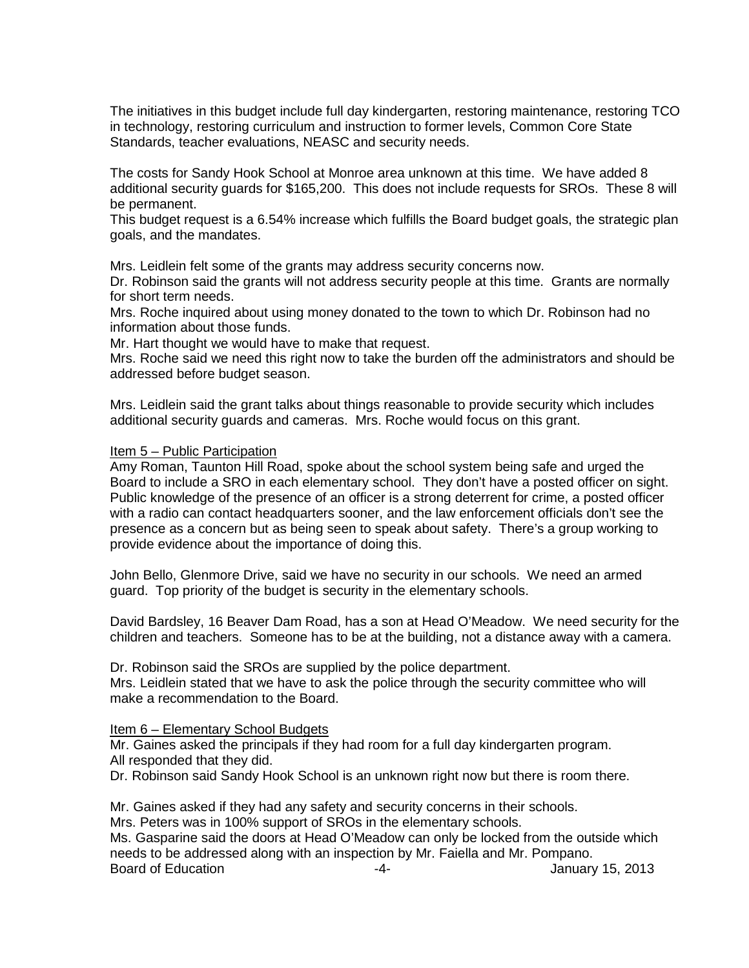The initiatives in this budget include full day kindergarten, restoring maintenance, restoring TCO in technology, restoring curriculum and instruction to former levels, Common Core State Standards, teacher evaluations, NEASC and security needs.

The costs for Sandy Hook School at Monroe area unknown at this time. We have added 8 additional security guards for \$165,200. This does not include requests for SROs. These 8 will be permanent.

This budget request is a 6.54% increase which fulfills the Board budget goals, the strategic plan goals, and the mandates.

Mrs. Leidlein felt some of the grants may address security concerns now.

Dr. Robinson said the grants will not address security people at this time. Grants are normally for short term needs.

Mrs. Roche inquired about using money donated to the town to which Dr. Robinson had no information about those funds.

Mr. Hart thought we would have to make that request.

Mrs. Roche said we need this right now to take the burden off the administrators and should be addressed before budget season.

Mrs. Leidlein said the grant talks about things reasonable to provide security which includes additional security guards and cameras. Mrs. Roche would focus on this grant.

#### Item 5 – Public Participation

Amy Roman, Taunton Hill Road, spoke about the school system being safe and urged the Board to include a SRO in each elementary school. They don't have a posted officer on sight. Public knowledge of the presence of an officer is a strong deterrent for crime, a posted officer with a radio can contact headquarters sooner, and the law enforcement officials don't see the presence as a concern but as being seen to speak about safety. There's a group working to provide evidence about the importance of doing this.

John Bello, Glenmore Drive, said we have no security in our schools. We need an armed guard. Top priority of the budget is security in the elementary schools.

David Bardsley, 16 Beaver Dam Road, has a son at Head O'Meadow. We need security for the children and teachers. Someone has to be at the building, not a distance away with a camera.

Dr. Robinson said the SROs are supplied by the police department.

Mrs. Leidlein stated that we have to ask the police through the security committee who will make a recommendation to the Board.

### Item 6 – Elementary School Budgets

Mr. Gaines asked the principals if they had room for a full day kindergarten program. All responded that they did.

Dr. Robinson said Sandy Hook School is an unknown right now but there is room there.

Mr. Gaines asked if they had any safety and security concerns in their schools. Mrs. Peters was in 100% support of SROs in the elementary schools. Ms. Gasparine said the doors at Head O'Meadow can only be locked from the outside which needs to be addressed along with an inspection by Mr. Faiella and Mr. Pompano. Board of Education **-4-** Figure 15, 2013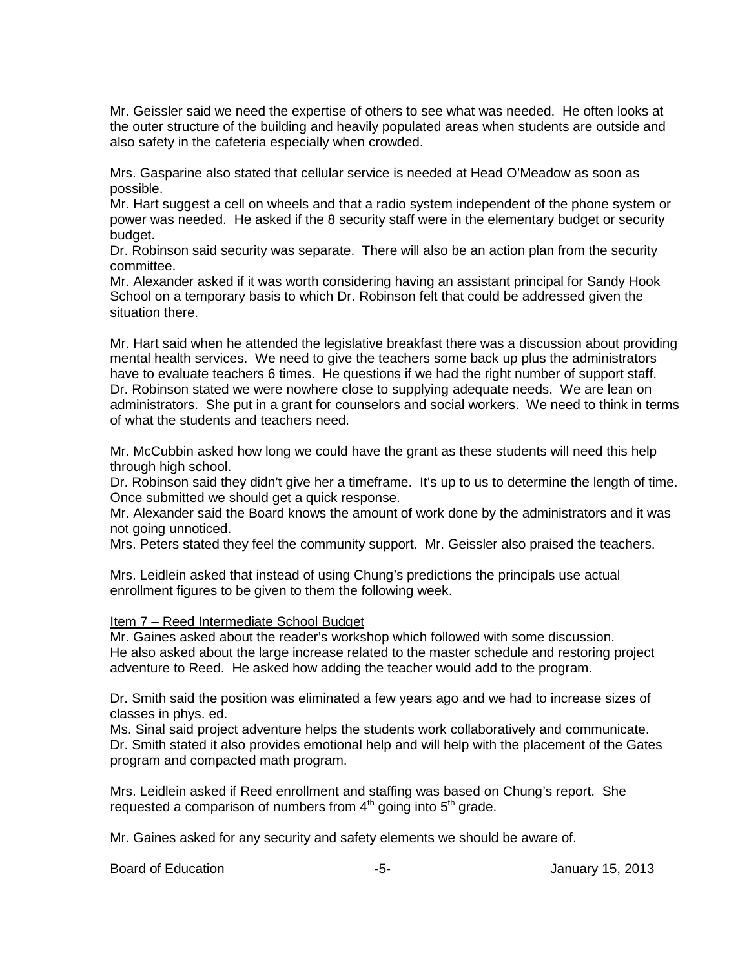Mr. Geissler said we need the expertise of others to see what was needed. He often looks at the outer structure of the building and heavily populated areas when students are outside and also safety in the cafeteria especially when crowded.

Mrs. Gasparine also stated that cellular service is needed at Head O'Meadow as soon as possible.

Mr. Hart suggest a cell on wheels and that a radio system independent of the phone system or power was needed. He asked if the 8 security staff were in the elementary budget or security budget.

Dr. Robinson said security was separate. There will also be an action plan from the security committee.

Mr. Alexander asked if it was worth considering having an assistant principal for Sandy Hook School on a temporary basis to which Dr. Robinson felt that could be addressed given the situation there.

Mr. Hart said when he attended the legislative breakfast there was a discussion about providing mental health services. We need to give the teachers some back up plus the administrators have to evaluate teachers 6 times. He questions if we had the right number of support staff. Dr. Robinson stated we were nowhere close to supplying adequate needs. We are lean on administrators. She put in a grant for counselors and social workers. We need to think in terms of what the students and teachers need.

Mr. McCubbin asked how long we could have the grant as these students will need this help through high school.

Dr. Robinson said they didn't give her a timeframe. It's up to us to determine the length of time. Once submitted we should get a quick response.

Mr. Alexander said the Board knows the amount of work done by the administrators and it was not going unnoticed.

Mrs. Peters stated they feel the community support. Mr. Geissler also praised the teachers.

Mrs. Leidlein asked that instead of using Chung's predictions the principals use actual enrollment figures to be given to them the following week.

### Item 7 – Reed Intermediate School Budget

Mr. Gaines asked about the reader's workshop which followed with some discussion. He also asked about the large increase related to the master schedule and restoring project adventure to Reed. He asked how adding the teacher would add to the program.

Dr. Smith said the position was eliminated a few years ago and we had to increase sizes of classes in phys. ed.

Ms. Sinal said project adventure helps the students work collaboratively and communicate. Dr. Smith stated it also provides emotional help and will help with the placement of the Gates program and compacted math program.

Mrs. Leidlein asked if Reed enrollment and staffing was based on Chung's report. She requested a comparison of numbers from  $4<sup>th</sup>$  going into  $5<sup>th</sup>$  grade.

Mr. Gaines asked for any security and safety elements we should be aware of.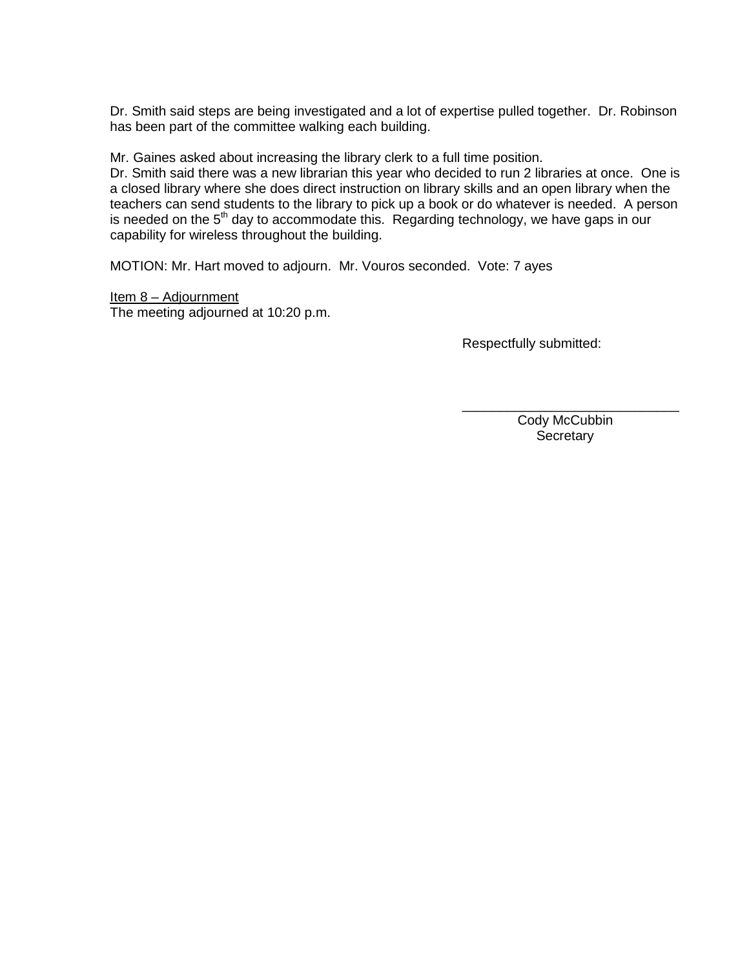Dr. Smith said steps are being investigated and a lot of expertise pulled together. Dr. Robinson has been part of the committee walking each building.

Mr. Gaines asked about increasing the library clerk to a full time position.

Dr. Smith said there was a new librarian this year who decided to run 2 libraries at once. One is a closed library where she does direct instruction on library skills and an open library when the teachers can send students to the library to pick up a book or do whatever is needed. A person is needed on the  $5<sup>th</sup>$  day to accommodate this. Regarding technology, we have gaps in our capability for wireless throughout the building.

MOTION: Mr. Hart moved to adjourn. Mr. Vouros seconded. Vote: 7 ayes

Item 8 – Adjournment The meeting adjourned at 10:20 p.m.

Respectfully submitted:

 Cody McCubbin **Secretary** 

\_\_\_\_\_\_\_\_\_\_\_\_\_\_\_\_\_\_\_\_\_\_\_\_\_\_\_\_\_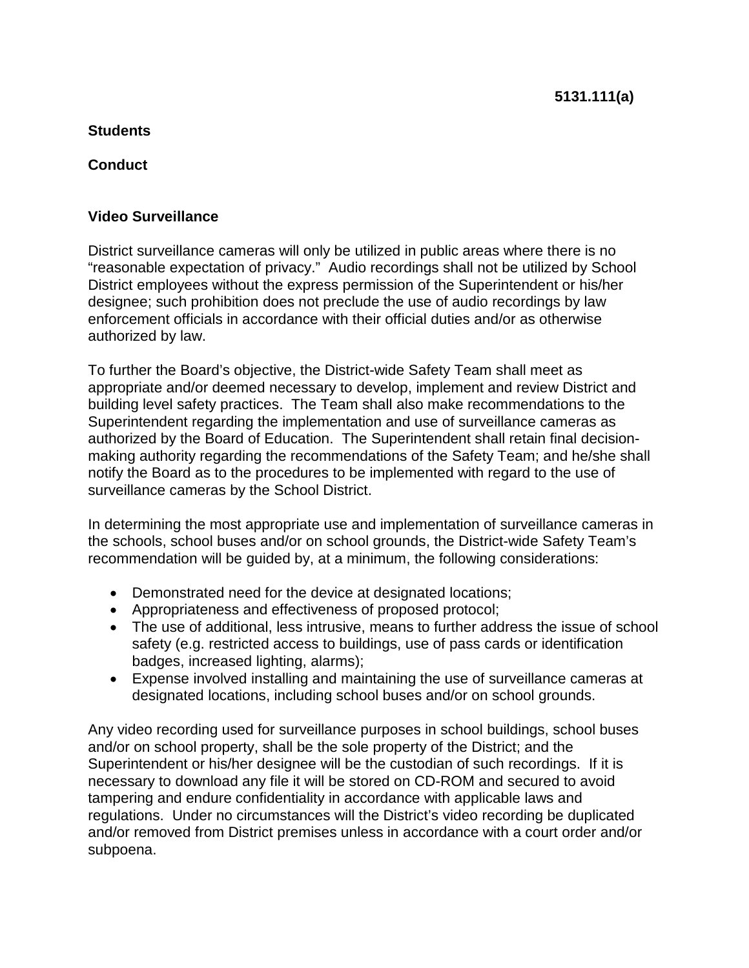# **Students**

## **Conduct**

## **Video Surveillance**

District surveillance cameras will only be utilized in public areas where there is no "reasonable expectation of privacy." Audio recordings shall not be utilized by School District employees without the express permission of the Superintendent or his/her designee; such prohibition does not preclude the use of audio recordings by law enforcement officials in accordance with their official duties and/or as otherwise authorized by law.

To further the Board's objective, the District-wide Safety Team shall meet as appropriate and/or deemed necessary to develop, implement and review District and building level safety practices. The Team shall also make recommendations to the Superintendent regarding the implementation and use of surveillance cameras as authorized by the Board of Education. The Superintendent shall retain final decisionmaking authority regarding the recommendations of the Safety Team; and he/she shall notify the Board as to the procedures to be implemented with regard to the use of surveillance cameras by the School District.

In determining the most appropriate use and implementation of surveillance cameras in the schools, school buses and/or on school grounds, the District-wide Safety Team's recommendation will be guided by, at a minimum, the following considerations:

- Demonstrated need for the device at designated locations;
- Appropriateness and effectiveness of proposed protocol;
- The use of additional, less intrusive, means to further address the issue of school safety (e.g. restricted access to buildings, use of pass cards or identification badges, increased lighting, alarms);
- Expense involved installing and maintaining the use of surveillance cameras at designated locations, including school buses and/or on school grounds.

Any video recording used for surveillance purposes in school buildings, school buses and/or on school property, shall be the sole property of the District; and the Superintendent or his/her designee will be the custodian of such recordings. If it is necessary to download any file it will be stored on CD-ROM and secured to avoid tampering and endure confidentiality in accordance with applicable laws and regulations. Under no circumstances will the District's video recording be duplicated and/or removed from District premises unless in accordance with a court order and/or subpoena.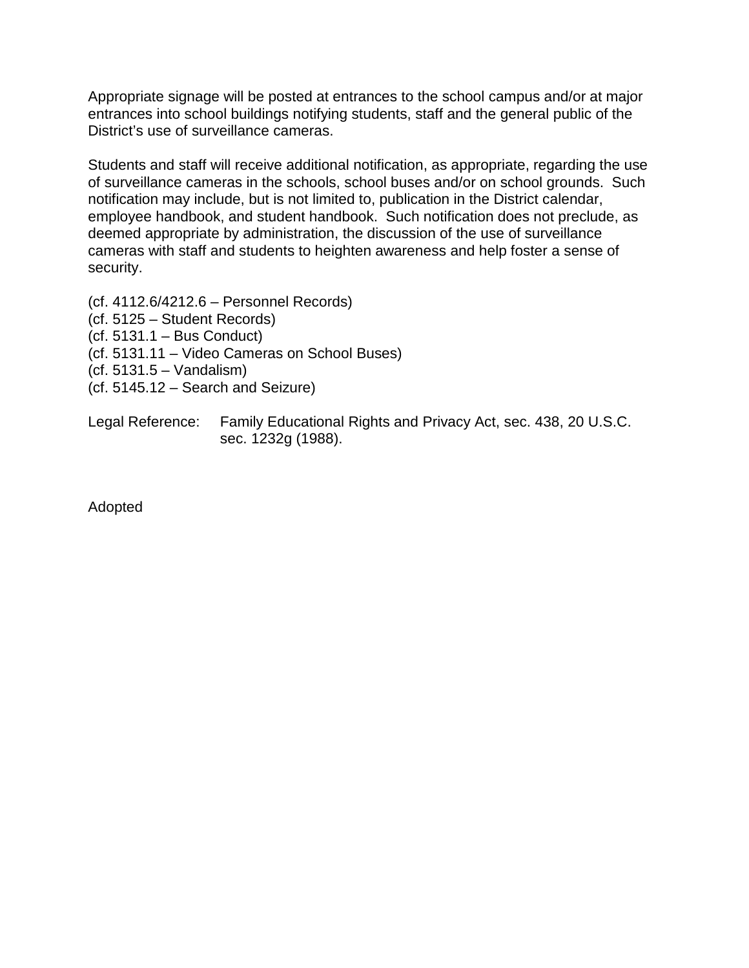Appropriate signage will be posted at entrances to the school campus and/or at major entrances into school buildings notifying students, staff and the general public of the District's use of surveillance cameras.

Students and staff will receive additional notification, as appropriate, regarding the use of surveillance cameras in the schools, school buses and/or on school grounds. Such notification may include, but is not limited to, publication in the District calendar, employee handbook, and student handbook. Such notification does not preclude, as deemed appropriate by administration, the discussion of the use of surveillance cameras with staff and students to heighten awareness and help foster a sense of security.

(cf. 4112.6/4212.6 – Personnel Records) (cf. 5125 – Student Records) (cf. 5131.1 – Bus Conduct) (cf. 5131.11 – Video Cameras on School Buses) (cf. 5131.5 – Vandalism) (cf. 5145.12 – Search and Seizure)

Legal Reference: Family Educational Rights and Privacy Act, sec. 438, 20 U.S.C. sec. 1232g (1988).

Adopted